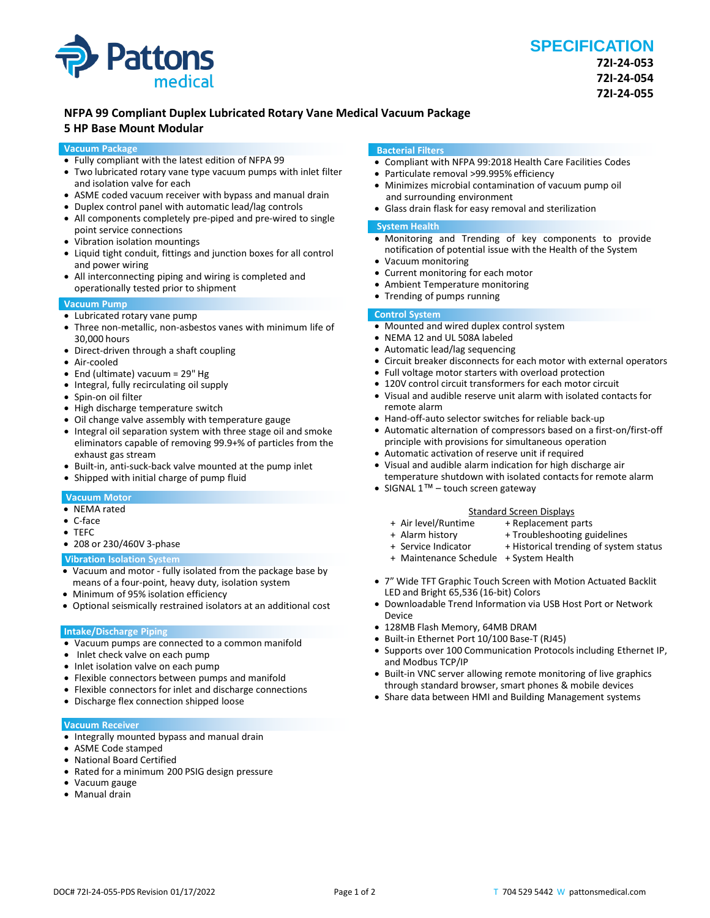

## **NFPA 99 Compliant Duplex Lubricated Rotary Vane Medical Vacuum Package**

## **5 HP Base Mount Modular**

#### **Vacuum Package**

- Fully compliant with the latest edition of NFPA 99
- Two lubricated rotary vane type vacuum pumps with inlet filter and isolation valve for each
- ASME coded vacuum receiver with bypass and manual drain
- Duplex control panel with automatic lead/lag controls
- All components completely pre-piped and pre-wired to single point service connections
- Vibration isolation mountings
- Liquid tight conduit, fittings and junction boxes for all control and power wiring
- All interconnecting piping and wiring is completed and operationally tested prior to shipment

### **Vacuum Pump**

- Lubricated rotary vane pump
- Three non-metallic, non-asbestos vanes with minimum life of 30,000 hours
- Direct-driven through a shaft coupling
- Air-cooled
- End (ultimate) vacuum = 29" Hg
- Integral, fully recirculating oil supply
- Spin-on oil filter
- High discharge temperature switch
- Oil change valve assembly with temperature gauge
- Integral oil separation system with three stage oil and smoke eliminators capable of removing 99.9+% of particles from the exhaust gas stream
- Built-in, anti-suck-back valve mounted at the pump inlet
- Shipped with initial charge of pump fluid

#### **Vacuum Motor**

- NEMA rated
- C-face
- TEFC
- 208 or 230/460V 3-phase

#### **Vibration Isolation System**

- Vacuum and motor fully isolated from the package base by means of a four-point, heavy duty, isolation system
- Minimum of 95% isolation efficiency
- Optional seismically restrained isolators at an additional cost

#### **Intake/Discharge Piping**

- Vacuum pumps are connected to a common manifold
- Inlet check valve on each pump
- Inlet isolation valve on each pump
- Flexible connectors between pumps and manifold
- Flexible connectors for inlet and discharge connections
- Discharge flex connection shipped loose

#### **Vacuum Receiver**

- Integrally mounted bypass and manual drain
- ASME Code stamped
- National Board Certified
- Rated for a minimum 200 PSIG design pressure
- Vacuum gauge
- Manual drain

#### **Bacterial Filters**

- Compliant with NFPA 99:2018 Health Care Facilities Codes
- Particulate removal >99.995% efficiency
- Minimizes microbial contamination of vacuum pump oil and surrounding environment
- Glass drain flask for easy removal and sterilization

#### **System Health**

- Monitoring and Trending of key components to provide notification of potential issue with the Health of the System
- Vacuum monitoring
- Current monitoring for each motor
- Ambient Temperature monitoring
- Trending of pumps running

## **Control System**

- Mounted and wired duplex control system
- NEMA 12 and UL 508A labeled
- Automatic lead/lag sequencing
- Circuit breaker disconnects for each motor with external operators
- Full voltage motor starters with overload protection
- 120V control circuit transformers for each motor circuit
- Visual and audible reserve unit alarm with isolated contacts for remote alarm
- Hand-off-auto selector switches for reliable back-up
- Automatic alternation of compressors based on a first-on/first-off principle with provisions for simultaneous operation
- Automatic activation of reserve unit if required
- Visual and audible alarm indication for high discharge air temperature shutdown with isolated contacts for remote alarm
- SIGNAL 1™ touch screen gateway

# Standard Screen Displays<br>Air level/Runtime + Replacement p +

- 
- 
- + Alarm history + Troubleshooting guidelines<br>+ Service Indicator + Historical trending of syster + Historical trending of system status

+ Replacement parts

- 
- + Maintenance Schedule + System Health
- 7" Wide TFT Graphic Touch Screen with Motion Actuated Backlit LED and Bright 65,536 (16-bit) Colors
- Downloadable Trend Information via USB Host Port or Network Device
- 128MB Flash Memory, 64MB DRAM
- Built-in Ethernet Port 10/100 Base-T (RJ45)
- Supports over 100 Communication Protocols including Ethernet IP, and Modbus TCP/IP
- Built-in VNC server allowing remote monitoring of live graphics through standard browser, smart phones & mobile devices
- Share data between HMI and Building Management systems